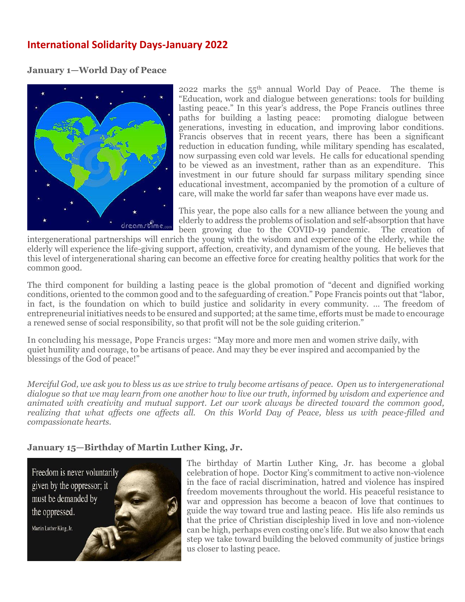## **[International Solidarity Days-January](http://www.franciscansisters-fcjm.org/index.php/en/join-us/suggested-participation/1053-participation-october-2015) 2022**

**January 1—World Day of Peace**



2022 marks the  $55<sup>th</sup>$  annual World Day of Peace. The theme is "Education, work and dialogue between generations: tools for building lasting peace." In this year's address, the Pope Francis outlines three paths for building a lasting peace: promoting dialogue between generations, investing in education, and improving labor conditions. Francis observes that in recent years, there has been a significant reduction in education funding, while military spending has escalated, now surpassing even cold war levels. He calls for educational spending to be viewed as an investment, rather than as an expenditure. This investment in our future should far surpass military spending since educational investment, accompanied by the promotion of a culture of care, will make the world far safer than weapons have ever made us.

This year, the pope also calls for a new alliance between the young and elderly to address the problems of isolation and self-absorption that have been growing due to the COVID-19 pandemic. The creation of

intergenerational partnerships will enrich the young with the wisdom and experience of the elderly, while the elderly will experience the life-giving support, affection, creativity, and dynamism of the young. He believes that this level of intergenerational sharing can become an effective force for creating healthy politics that work for the common good.

The third component for building a lasting peace is the global promotion of "decent and dignified working conditions, oriented to the common good and to the safeguarding of creation." Pope Francis points out that "labor, in fact, is the foundation on which to build justice and solidarity in every community. … The freedom of entrepreneurial initiatives needs to be ensured and supported; at the same time, efforts must be made to encourage a renewed sense of social responsibility, so that profit will not be the sole guiding criterion."

In concluding his message, Pope Francis urges: "May more and more men and women strive daily, with quiet humility and courage, to be artisans of peace. And may they be ever inspired and accompanied by the blessings of the God of peace!"

*Merciful God, we ask you to bless us as we strive to truly become artisans of peace. Open us to intergenerational dialogue so that we may learn from one another how to live our truth, informed by wisdom and experience and animated with creativity and mutual support. Let our work always be directed toward the common good, realizing that what affects one affects all. On this World Day of Peace, bless us with peace-filled and compassionate hearts.*

## **January 15—Birthday of Martin Luther King, Jr.**



The birthday of Martin Luther King, Jr. has become a global celebration of hope. Doctor King's commitment to active non-violence in the face of racial discrimination, hatred and violence has inspired freedom movements throughout the world. His peaceful resistance to war and oppression has become a beacon of love that continues to guide the way toward true and lasting peace. His life also reminds us that the price of Christian discipleship lived in love and non-violence can be high, perhaps even costing one's life. But we also know that each step we take toward building the beloved community of justice brings us closer to lasting peace.